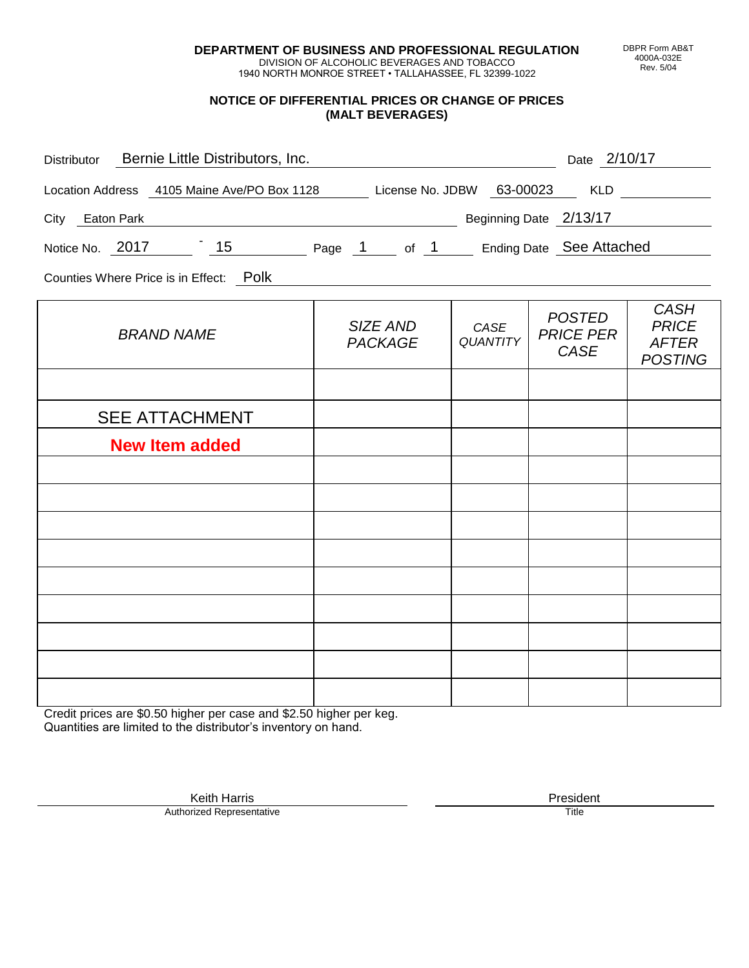**DEPARTMENT OF BUSINESS AND PROFESSIONAL REGULATION** DIVISION OF ALCOHOLIC BEVERAGES AND TOBACCO

1940 NORTH MONROE STREET • TALLAHASSEE, FL 32399-1022

## **NOTICE OF DIFFERENTIAL PRICES OR CHANGE OF PRICES (MALT BEVERAGES)**

| Distributor Bernie Little Distributors, Inc.                              |                            |                         | Date 2/10/17                              |                                                               |
|---------------------------------------------------------------------------|----------------------------|-------------------------|-------------------------------------------|---------------------------------------------------------------|
| Location Address 4105 Maine Ave/PO Box 1128 License No. JDBW 63-00023 KLD |                            |                         |                                           |                                                               |
| Beginning Date 2/13/17<br>City Eaton Park                                 |                            |                         |                                           |                                                               |
| Notice No. 2017 15 Page 1 of 1 Ending Date See Attached                   |                            |                         |                                           |                                                               |
| Counties Where Price is in Effect: Polk                                   |                            |                         |                                           |                                                               |
| <b>BRAND NAME</b>                                                         | SIZE AND<br><b>PACKAGE</b> | CASE<br><b>QUANTITY</b> | <b>POSTED</b><br><b>PRICE PER</b><br>CASE | <b>CASH</b><br><b>PRICE</b><br><b>AFTER</b><br><b>POSTING</b> |
|                                                                           |                            |                         |                                           |                                                               |
| <b>SEE ATTACHMENT</b>                                                     |                            |                         |                                           |                                                               |
| <b>New Item added</b>                                                     |                            |                         |                                           |                                                               |
|                                                                           |                            |                         |                                           |                                                               |
|                                                                           |                            |                         |                                           |                                                               |
|                                                                           |                            |                         |                                           |                                                               |
|                                                                           |                            |                         |                                           |                                                               |
|                                                                           |                            |                         |                                           |                                                               |
|                                                                           |                            |                         |                                           |                                                               |
|                                                                           |                            |                         |                                           |                                                               |
|                                                                           |                            |                         |                                           |                                                               |

Credit prices are \$0.50 higher per case and \$2.50 higher per keg. Quantities are limited to the distributor's inventory on hand.

> Keith Harris **President** President **President** President **President** President **President** Authorized Representative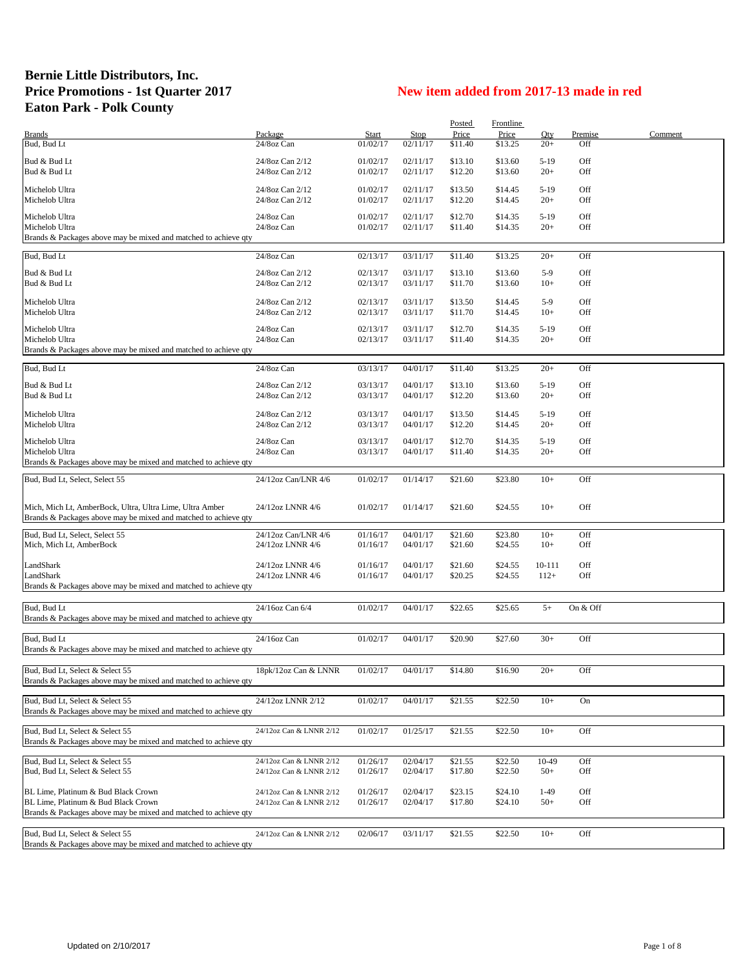## **Bernie Little Distributors, Inc.** Price Promotions - 1st Quarter 2017<br> **New item added from 2017-13 made in red Eaton Park - Polk County**

|                                                                            |                                                    |                      |                      | Posted             | Frontline          |                 |                |         |
|----------------------------------------------------------------------------|----------------------------------------------------|----------------------|----------------------|--------------------|--------------------|-----------------|----------------|---------|
| <b>Brands</b>                                                              | Package                                            | Start                | <b>Stop</b>          | Price              | Price              | Qty             | <b>Premise</b> | Comment |
| Bud, Bud Lt                                                                | 24/8oz Can                                         | 01/02/17             | 02/11/17             | \$11.40            | \$13.25            | $20+$           | Off            |         |
| Bud & Bud Lt                                                               | 24/8oz Can 2/12                                    | 01/02/17             | 02/11/17             | \$13.10            | \$13.60            | $5-19$          | Off            |         |
| Bud & Bud Lt                                                               | 24/8oz Can 2/12                                    | 01/02/17             | 02/11/17             | \$12.20            | \$13.60            | $20+$           | Off            |         |
|                                                                            |                                                    |                      |                      |                    |                    |                 |                |         |
| Michelob Ultra                                                             | 24/8oz Can 2/12                                    | 01/02/17             | 02/11/17<br>02/11/17 | \$13.50            | \$14.45            | $5-19$<br>$20+$ | Off<br>Off     |         |
| Michelob Ultra                                                             | 24/8oz Can 2/12                                    | 01/02/17             |                      | \$12.20            | \$14.45            |                 |                |         |
| Michelob Ultra                                                             | 24/8oz Can                                         | 01/02/17             | 02/11/17             | \$12.70            | \$14.35            | $5-19$          | Off            |         |
| Michelob Ultra                                                             | 24/8oz Can                                         | 01/02/17             | 02/11/17             | \$11.40            | \$14.35            | $20+$           | Off            |         |
| Brands & Packages above may be mixed and matched to achieve qty            |                                                    |                      |                      |                    |                    |                 |                |         |
| Bud, Bud Lt                                                                | 24/8oz Can                                         | 02/13/17             | 03/11/17             | \$11.40            | \$13.25            | $20+$           | Off            |         |
|                                                                            |                                                    |                      |                      |                    |                    |                 |                |         |
| Bud & Bud Lt                                                               | 24/8oz Can 2/12                                    | 02/13/17             | 03/11/17             | \$13.10            | \$13.60            | $5-9$           | Off            |         |
| Bud & Bud Lt                                                               | 24/8oz Can 2/12                                    | 02/13/17             | 03/11/17             | \$11.70            | \$13.60            | $10+$           | Off            |         |
| Michelob Ultra                                                             | 24/8oz Can 2/12                                    | 02/13/17             | 03/11/17             | \$13.50            | \$14.45            | $5-9$           | Off            |         |
| Michelob Ultra                                                             | 24/8oz Can 2/12                                    | 02/13/17             | 03/11/17             | \$11.70            | \$14.45            | $10+$           | Off            |         |
| Michelob Ultra                                                             | 24/8oz Can                                         | 02/13/17             | 03/11/17             | \$12.70            | \$14.35            | $5-19$          | Off            |         |
| Michelob Ultra                                                             | 24/8oz Can                                         | 02/13/17             | 03/11/17             | \$11.40            | \$14.35            | $20+$           | Off            |         |
| Brands & Packages above may be mixed and matched to achieve qty            |                                                    |                      |                      |                    |                    |                 |                |         |
|                                                                            |                                                    |                      |                      |                    |                    |                 |                |         |
| Bud, Bud Lt                                                                | 24/8oz Can                                         | 03/13/17             | 04/01/17             | \$11.40            | \$13.25            | $20+$           | Off            |         |
| Bud & Bud Lt                                                               | 24/8oz Can 2/12                                    | 03/13/17             | 04/01/17             | \$13.10            | \$13.60            | $5-19$          | Off            |         |
| Bud & Bud Lt                                                               | 24/8oz Can 2/12                                    | 03/13/17             | 04/01/17             | \$12.20            | \$13.60            | $20+$           | Off            |         |
|                                                                            |                                                    |                      |                      |                    |                    |                 |                |         |
| Michelob Ultra<br>Michelob Ultra                                           | 24/8oz Can 2/12<br>24/8oz Can 2/12                 | 03/13/17<br>03/13/17 | 04/01/17<br>04/01/17 | \$13.50<br>\$12.20 | \$14.45<br>\$14.45 | $5-19$<br>$20+$ | Off<br>Off     |         |
|                                                                            |                                                    |                      |                      |                    |                    |                 |                |         |
| Michelob Ultra                                                             | 24/8oz Can                                         | 03/13/17             | 04/01/17             | \$12.70            | \$14.35            | $5-19$          | Off            |         |
| Michelob Ultra                                                             | 24/8oz Can                                         | 03/13/17             | 04/01/17             | \$11.40            | \$14.35            | $20+$           | Off            |         |
| Brands & Packages above may be mixed and matched to achieve qty            |                                                    |                      |                      |                    |                    |                 |                |         |
| Bud, Bud Lt, Select, Select 55                                             | 24/12oz Can/LNR 4/6                                | 01/02/17             | 01/14/17             | \$21.60            | \$23.80            | $10+$           | Off            |         |
|                                                                            |                                                    |                      |                      |                    |                    |                 |                |         |
| Mich, Mich Lt, AmberBock, Ultra, Ultra Lime, Ultra Amber                   | 24/12oz LNNR 4/6                                   | 01/02/17             | 01/14/17             | \$21.60            | \$24.55            | $10+$           | Off            |         |
| Brands & Packages above may be mixed and matched to achieve qty            |                                                    |                      |                      |                    |                    |                 |                |         |
|                                                                            |                                                    |                      |                      |                    |                    |                 |                |         |
| Bud, Bud Lt, Select, Select 55                                             | 24/12oz Can/LNR 4/6                                | 01/16/17             | 04/01/17             | \$21.60            | \$23.80            | $10+$           | Off            |         |
| Mich, Mich Lt, AmberBock                                                   | 24/12oz LNNR 4/6                                   | 01/16/17             | 04/01/17             | \$21.60            | \$24.55            | $10+$           | Off            |         |
| LandShark                                                                  | 24/12oz LNNR 4/6                                   | 01/16/17             | 04/01/17             | \$21.60            | \$24.55            | 10-111          | Off            |         |
| LandShark                                                                  | 24/12oz LNNR 4/6                                   | 01/16/17             | 04/01/17             | \$20.25            | \$24.55            | $112+$          | Off            |         |
| Brands & Packages above may be mixed and matched to achieve qty            |                                                    |                      |                      |                    |                    |                 |                |         |
|                                                                            |                                                    |                      |                      |                    |                    |                 |                |         |
| Bud, Bud Lt                                                                | 24/16oz Can 6/4                                    | 01/02/17             | 04/01/17             | \$22.65            | \$25.65            | $5+$            | On & Off       |         |
| Brands & Packages above may be mixed and matched to achieve qty            |                                                    |                      |                      |                    |                    |                 |                |         |
|                                                                            |                                                    |                      |                      |                    |                    |                 |                |         |
| Bud, Bud Lt                                                                | 24/16oz Can                                        | 01/02/17             | 04/01/17             | \$20.90            | \$27.60            | $30+$           | Off            |         |
| Brands & Packages above may be mixed and matched to achieve qty            |                                                    |                      |                      |                    |                    |                 |                |         |
| Bud, Bud Lt, Select & Select 55                                            | 18pk/12oz Can & LNNR                               | 01/02/17             | 04/01/17             | \$14.80            | \$16.90            | $20+$           | Off            |         |
| Brands & Packages above may be mixed and matched to achieve qty            |                                                    |                      |                      |                    |                    |                 |                |         |
|                                                                            |                                                    |                      |                      |                    |                    |                 |                |         |
| Bud, Bud Lt, Select & Select 55                                            | 24/12oz LNNR 2/12                                  | 01/02/17             | 04/01/17             | \$21.55            | \$22.50            | $10+$           | On             |         |
| Brands & Packages above may be mixed and matched to achieve qty            |                                                    |                      |                      |                    |                    |                 |                |         |
| Bud, Bud Lt, Select & Select 55                                            | 24/12oz Can & LNNR 2/12                            | 01/02/17             | 01/25/17             | \$21.55            | \$22.50            | $10+$           | Off            |         |
| Brands & Packages above may be mixed and matched to achieve qty            |                                                    |                      |                      |                    |                    |                 |                |         |
|                                                                            |                                                    |                      |                      |                    |                    |                 |                |         |
| Bud, Bud Lt, Select & Select 55                                            | 24/12oz Can & LNNR 2/12                            | 01/26/17             | 02/04/17             | \$21.55            | \$22.50            | 10-49           | Off            |         |
| Bud, Bud Lt, Select & Select 55                                            | 24/12oz Can & LNNR 2/12                            | 01/26/17             | 02/04/17             | \$17.80            | \$22.50            | $50+$           | Off            |         |
|                                                                            |                                                    |                      |                      |                    |                    |                 |                |         |
| BL Lime, Platinum & Bud Black Crown<br>BL Lime, Platinum & Bud Black Crown | 24/12oz Can & LNNR 2/12<br>24/12oz Can & LNNR 2/12 | 01/26/17<br>01/26/17 | 02/04/17<br>02/04/17 | \$23.15<br>\$17.80 | \$24.10<br>\$24.10 | $1-49$<br>$50+$ | Off<br>Off     |         |
| Brands & Packages above may be mixed and matched to achieve qty            |                                                    |                      |                      |                    |                    |                 |                |         |
|                                                                            |                                                    |                      |                      |                    |                    |                 |                |         |
| Bud, Bud Lt, Select & Select 55                                            | 24/12oz Can & LNNR 2/12                            | 02/06/17             | 03/11/17             | \$21.55            | \$22.50            | $10+$           | Off            |         |
| Brands & Packages above may be mixed and matched to achieve qty            |                                                    |                      |                      |                    |                    |                 |                |         |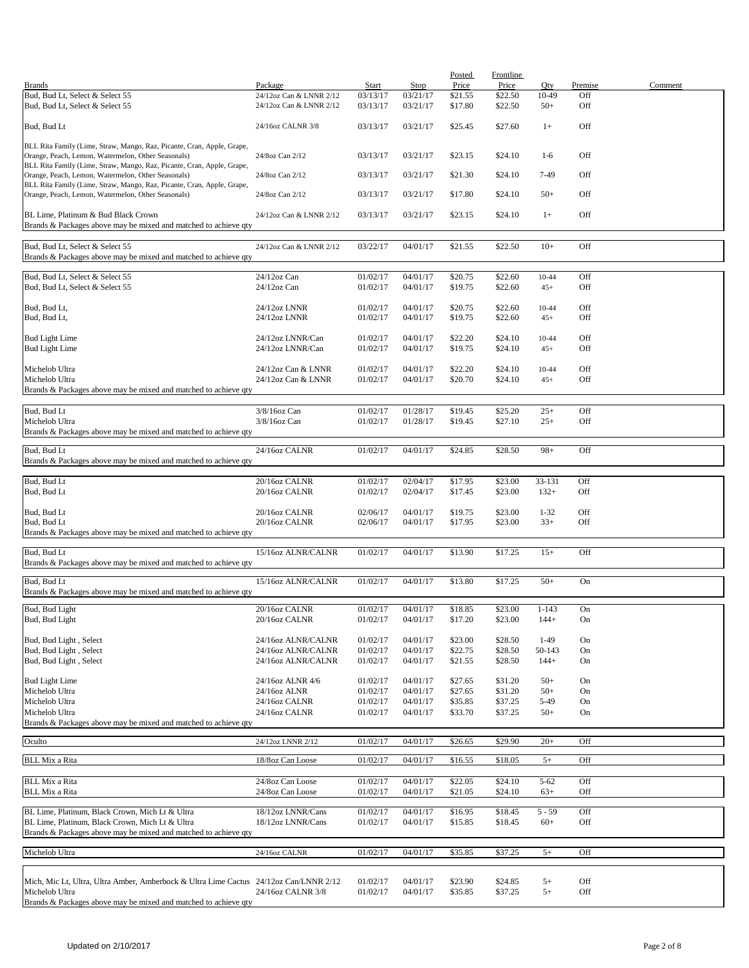|                                                                                                                              |                                      |          |          | <b>Posted</b> | Frontline |                   |         |         |
|------------------------------------------------------------------------------------------------------------------------------|--------------------------------------|----------|----------|---------------|-----------|-------------------|---------|---------|
| <b>Brands</b>                                                                                                                | Package                              | Start    | Stop     | Price         | Price     | Oty               | Premise | Comment |
| Bud, Bud Lt, Select & Select 55                                                                                              | 24/12oz Can & LNNR 2/12              | 03/13/17 | 03/21/17 | \$21.55       | \$22.50   | 10-49             | Off     |         |
| Bud, Bud Lt, Select & Select 55                                                                                              | 24/12oz Can & LNNR 2/12              | 03/13/17 | 03/21/17 | \$17.80       | \$22.50   | $50+$             | Off     |         |
|                                                                                                                              |                                      |          |          |               |           |                   |         |         |
| Bud, Bud Lt                                                                                                                  | 24/16oz CALNR 3/8                    | 03/13/17 | 03/21/17 | \$25.45       | \$27.60   | $1+$              | Off     |         |
|                                                                                                                              |                                      |          |          |               |           |                   |         |         |
| BLL Rita Family (Lime, Straw, Mango, Raz, Picante, Cran, Apple, Grape,                                                       |                                      |          |          |               |           |                   |         |         |
| Orange, Peach, Lemon, Watermelon, Other Seasonals)                                                                           | 24/8oz Can 2/12                      | 03/13/17 | 03/21/17 | \$23.15       | \$24.10   | $1-6$             | Off     |         |
| BLL Rita Family (Lime, Straw, Mango, Raz, Picante, Cran, Apple, Grape,                                                       |                                      |          |          |               |           |                   |         |         |
| Orange, Peach, Lemon, Watermelon, Other Seasonals)                                                                           | 24/8oz Can 2/12                      | 03/13/17 | 03/21/17 | \$21.30       | \$24.10   | 7-49              | Off     |         |
| BLL Rita Family (Lime, Straw, Mango, Raz, Picante, Cran, Apple, Grape,<br>Orange, Peach, Lemon, Watermelon, Other Seasonals) | 24/8oz Can 2/12                      | 03/13/17 | 03/21/17 | \$17.80       | \$24.10   | $50+$             | Off     |         |
|                                                                                                                              |                                      |          |          |               |           |                   |         |         |
| BL Lime, Platinum & Bud Black Crown                                                                                          | 24/12oz Can & LNNR 2/12              | 03/13/17 | 03/21/17 | \$23.15       | \$24.10   | $1+$              | Off     |         |
| Brands & Packages above may be mixed and matched to achieve qty                                                              |                                      |          |          |               |           |                   |         |         |
|                                                                                                                              |                                      |          |          |               |           |                   |         |         |
| Bud, Bud Lt, Select & Select 55                                                                                              | 24/12oz Can & LNNR 2/12              | 03/22/17 | 04/01/17 | \$21.55       | \$22.50   | $10+$             | Off     |         |
| Brands & Packages above may be mixed and matched to achieve qty                                                              |                                      |          |          |               |           |                   |         |         |
|                                                                                                                              |                                      |          |          |               |           |                   |         |         |
| Bud, Bud Lt, Select & Select 55                                                                                              | 24/12oz Can                          | 01/02/17 | 04/01/17 | \$20.75       | \$22.60   | $10 - 44$         | Off     |         |
| Bud, Bud Lt, Select & Select 55                                                                                              | 24/12oz Can                          | 01/02/17 | 04/01/17 | \$19.75       | \$22.60   | $45+$             | Off     |         |
|                                                                                                                              |                                      |          |          |               |           |                   |         |         |
| Bud, Bud Lt,                                                                                                                 | 24/12oz LNNR                         | 01/02/17 | 04/01/17 | \$20.75       | \$22.60   | 10-44             | Off     |         |
| Bud, Bud Lt,                                                                                                                 | 24/12oz LNNR                         | 01/02/17 | 04/01/17 | \$19.75       | \$22.60   | $45+$             | Off     |         |
|                                                                                                                              |                                      |          |          |               |           |                   |         |         |
| <b>Bud Light Lime</b>                                                                                                        | 24/12oz LNNR/Can                     | 01/02/17 | 04/01/17 | \$22.20       | \$24.10   | $10 - 44$         | Off     |         |
| <b>Bud Light Lime</b>                                                                                                        | 24/12oz LNNR/Can                     | 01/02/17 | 04/01/17 | \$19.75       | \$24.10   | $45+$             | Off     |         |
|                                                                                                                              |                                      |          |          |               |           |                   |         |         |
| Michelob Ultra                                                                                                               | 24/12oz Can & LNNR                   | 01/02/17 | 04/01/17 | \$22.20       | \$24.10   | 10-44             | Off     |         |
| Michelob Ultra                                                                                                               | 24/12oz Can & LNNR                   | 01/02/17 | 04/01/17 | \$20.70       | \$24.10   | $45+$             | Off     |         |
| Brands & Packages above may be mixed and matched to achieve qty                                                              |                                      |          |          |               |           |                   |         |         |
|                                                                                                                              |                                      |          |          |               |           |                   |         |         |
| Bud, Bud Lt                                                                                                                  | 3/8/16oz Can                         | 01/02/17 | 01/28/17 | \$19.45       | \$25.20   | $25+$             | Off     |         |
| Michelob Ultra                                                                                                               | 3/8/16oz Can                         | 01/02/17 | 01/28/17 | \$19.45       | \$27.10   | $25+$             | Off     |         |
| Brands & Packages above may be mixed and matched to achieve qty                                                              |                                      |          |          |               |           |                   |         |         |
| Bud, Bud Lt                                                                                                                  | 24/16oz CALNR                        | 01/02/17 | 04/01/17 | \$24.85       | \$28.50   | $98+$             | Off     |         |
|                                                                                                                              |                                      |          |          |               |           |                   |         |         |
| Brands & Packages above may be mixed and matched to achieve qty                                                              |                                      |          |          |               |           |                   |         |         |
| Bud, Bud Lt                                                                                                                  | 20/16oz CALNR                        | 01/02/17 | 02/04/17 | \$17.95       | \$23.00   | 33-131            | Off     |         |
| Bud, Bud Lt                                                                                                                  | 20/16oz CALNR                        | 01/02/17 | 02/04/17 | \$17.45       | \$23.00   | $132+$            | Off     |         |
|                                                                                                                              |                                      |          |          |               |           |                   |         |         |
| Bud, Bud Lt                                                                                                                  | 20/16oz CALNR                        | 02/06/17 | 04/01/17 | \$19.75       | \$23.00   | $1 - 32$          | Off     |         |
| Bud, Bud Lt                                                                                                                  | 20/16oz CALNR                        | 02/06/17 | 04/01/17 | \$17.95       | \$23.00   | $33+$             | Off     |         |
| Brands & Packages above may be mixed and matched to achieve qty                                                              |                                      |          |          |               |           |                   |         |         |
|                                                                                                                              |                                      |          |          |               |           |                   |         |         |
| Bud, Bud Lt                                                                                                                  | 15/16oz ALNR/CALNR                   | 01/02/17 | 04/01/17 | \$13.90       | \$17.25   | $15+$             | Off     |         |
| Brands & Packages above may be mixed and matched to achieve qty                                                              |                                      |          |          |               |           |                   |         |         |
|                                                                                                                              |                                      |          |          |               |           |                   |         |         |
| Bud, Bud Lt                                                                                                                  | 15/16oz ALNR/CALNR                   | 01/02/17 | 04/01/17 | \$13.80       | \$17.25   | $50+$             | On      |         |
| Brands & Packages above may be mixed and matched to achieve qty                                                              |                                      |          |          |               |           |                   |         |         |
| Bud, Bud Light                                                                                                               | 20/16oz CALNR                        | 01/02/17 | 04/01/17 | \$18.85       | \$23.00   | $1 - 143$         | On      |         |
| Bud, Bud Light                                                                                                               | 20/16oz CALNR                        | 01/02/17 | 04/01/17 | \$17.20       | \$23.00   | $144+$            | On      |         |
|                                                                                                                              |                                      |          |          |               |           |                   |         |         |
| Bud, Bud Light, Select                                                                                                       | 24/16oz ALNR/CALNR                   | 01/02/17 | 04/01/17 | \$23.00       | \$28.50   | $1-49$            | On      |         |
| Bud, Bud Light, Select                                                                                                       | 24/16oz ALNR/CALNR                   | 01/02/17 | 04/01/17 | \$22.75       | \$28.50   | 50-143            | On      |         |
| Bud, Bud Light, Select                                                                                                       | 24/16oz ALNR/CALNR                   | 01/02/17 | 04/01/17 | \$21.55       | \$28.50   | $144+$            | On      |         |
|                                                                                                                              |                                      |          |          |               |           |                   |         |         |
| <b>Bud Light Lime</b>                                                                                                        | 24/16oz ALNR 4/6                     | 01/02/17 | 04/01/17 | \$27.65       | \$31.20   | $50+$             | On      |         |
| Michelob Ultra                                                                                                               | 24/16oz ALNR                         | 01/02/17 | 04/01/17 | \$27.65       | \$31.20   | $50+$             | On      |         |
| Michelob Ultra                                                                                                               | 24/16oz CALNR                        | 01/02/17 | 04/01/17 | \$35.85       | \$37.25   | 5-49              | On      |         |
| Michelob Ultra                                                                                                               | 24/16oz CALNR                        | 01/02/17 | 04/01/17 | \$33.70       | \$37.25   | $50+$             | On      |         |
| Brands & Packages above may be mixed and matched to achieve qty                                                              |                                      |          |          |               |           |                   |         |         |
|                                                                                                                              |                                      |          |          |               |           |                   |         |         |
| Oculto                                                                                                                       | 24/12oz LNNR 2/12                    | 01/02/17 | 04/01/17 | \$26.65       | \$29.90   | $20+$             | Off     |         |
|                                                                                                                              |                                      |          |          |               |           |                   |         |         |
| <b>BLL Mix a Rita</b>                                                                                                        | 18/8oz Can Loose                     | 01/02/17 | 04/01/17 | \$16.55       | \$18.05   | $5+$              | Off     |         |
|                                                                                                                              |                                      |          |          |               | \$24.10   |                   | Off     |         |
| <b>BLL Mix a Rita</b>                                                                                                        | 24/8oz Can Loose<br>24/8oz Can Loose | 01/02/17 | 04/01/17 | \$22.05       |           | $5 - 62$<br>$63+$ | Off     |         |
| BLL Mix a Rita                                                                                                               |                                      | 01/02/17 | 04/01/17 | \$21.05       | \$24.10   |                   |         |         |
| BL Lime, Platinum, Black Crown, Mich Lt & Ultra                                                                              | 18/12oz LNNR/Cans                    | 01/02/17 | 04/01/17 | \$16.95       | \$18.45   | $5 - 59$          | Off     |         |
| BL Lime, Platinum, Black Crown, Mich Lt & Ultra                                                                              | 18/12oz LNNR/Cans                    | 01/02/17 | 04/01/17 | \$15.85       | \$18.45   | $60+$             | Off     |         |
| Brands & Packages above may be mixed and matched to achieve qty                                                              |                                      |          |          |               |           |                   |         |         |
|                                                                                                                              |                                      |          |          |               |           |                   |         |         |
| Michelob Ultra                                                                                                               | 24/16oz CALNR                        | 01/02/17 | 04/01/17 | \$35.85       | \$37.25   | $5+$              | Off     |         |
|                                                                                                                              |                                      |          |          |               |           |                   |         |         |
|                                                                                                                              |                                      |          |          |               |           |                   |         |         |
| Mich, Mic Lt, Ultra, Ultra Amber, Amberbock & Ultra Lime Cactus 24/12oz Can/LNNR 2/12                                        |                                      | 01/02/17 | 04/01/17 | \$23.90       | \$24.85   | $5+$              | Off     |         |
| Michelob Ultra                                                                                                               | 24/16oz CALNR 3/8                    | 01/02/17 | 04/01/17 | \$35.85       | \$37.25   | $5+$              | Off     |         |
| Brands & Packages above may be mixed and matched to achieve qty                                                              |                                      |          |          |               |           |                   |         |         |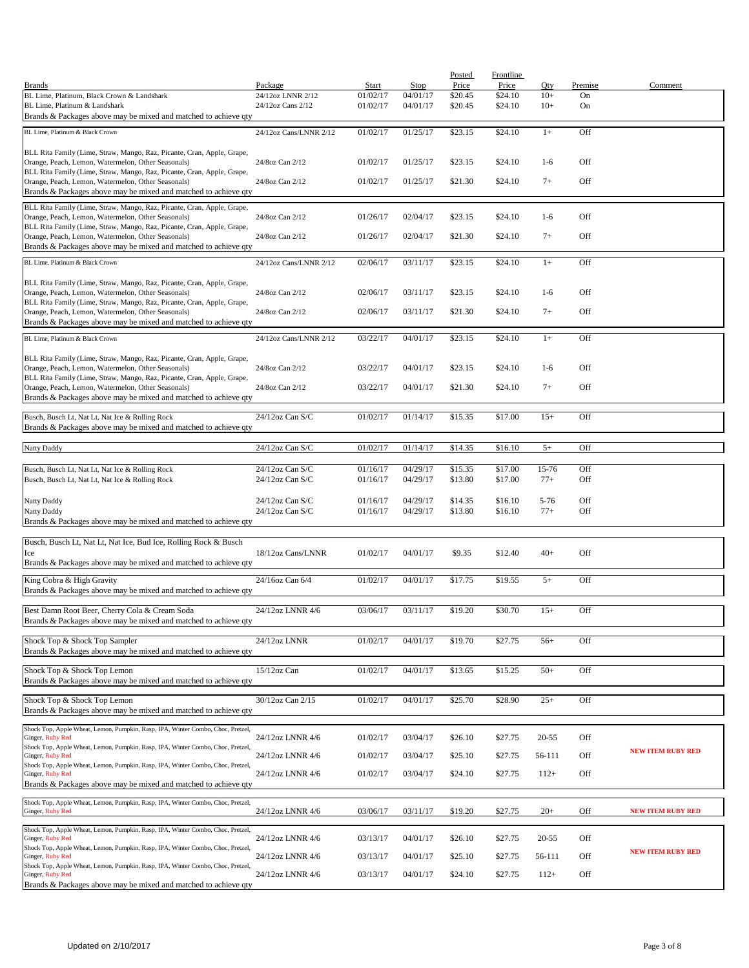|                                                                                                                              |                        |          |          | <b>Posted</b> | Frontline |           |         |                          |
|------------------------------------------------------------------------------------------------------------------------------|------------------------|----------|----------|---------------|-----------|-----------|---------|--------------------------|
| <b>Brands</b>                                                                                                                | Package                | Start    | Stop     | Price         | Price     | Oty       | Premise | Comment                  |
| BL Lime, Platinum, Black Crown & Landshark                                                                                   | 24/12oz LNNR 2/12      | 01/02/17 | 04/01/17 | \$20.45       | \$24.10   | $10+$     | On      |                          |
| BL Lime. Platinum & Landshark                                                                                                | 24/12oz Cans 2/12      | 01/02/17 | 04/01/17 | \$20.45       | \$24.10   | $10+$     | On      |                          |
| Brands & Packages above may be mixed and matched to achieve qty                                                              |                        |          |          |               |           |           |         |                          |
| BL Lime, Platinum & Black Crown                                                                                              | 24/12oz Cans/LNNR 2/12 | 01/02/17 | 01/25/17 | \$23.15       | \$24.10   | $1+$      | Off     |                          |
|                                                                                                                              |                        |          |          |               |           |           |         |                          |
| BLL Rita Family (Lime, Straw, Mango, Raz, Picante, Cran, Apple, Grape,                                                       |                        |          |          |               |           |           |         |                          |
| Orange, Peach, Lemon, Watermelon, Other Seasonals)                                                                           | 24/8oz Can 2/12        | 01/02/17 | 01/25/17 | \$23.15       | \$24.10   | $1-6$     | Off     |                          |
| BLL Rita Family (Lime, Straw, Mango, Raz, Picante, Cran, Apple, Grape,<br>Orange, Peach, Lemon, Watermelon, Other Seasonals) | 24/8oz Can 2/12        | 01/02/17 | 01/25/17 | \$21.30       | \$24.10   | $7+$      | Off     |                          |
| Brands & Packages above may be mixed and matched to achieve qty                                                              |                        |          |          |               |           |           |         |                          |
|                                                                                                                              |                        |          |          |               |           |           |         |                          |
| BLL Rita Family (Lime, Straw, Mango, Raz, Picante, Cran, Apple, Grape,                                                       |                        |          |          |               |           | $1-6$     | Off     |                          |
| Orange, Peach, Lemon, Watermelon, Other Seasonals)<br>BLL Rita Family (Lime, Straw, Mango, Raz, Picante, Cran, Apple, Grape, | 24/8oz Can 2/12        | 01/26/17 | 02/04/17 | \$23.15       | \$24.10   |           |         |                          |
| Orange, Peach, Lemon, Watermelon, Other Seasonals)                                                                           | 24/8oz Can 2/12        | 01/26/17 | 02/04/17 | \$21.30       | \$24.10   | $7+$      | Off     |                          |
| Brands & Packages above may be mixed and matched to achieve qty                                                              |                        |          |          |               |           |           |         |                          |
|                                                                                                                              |                        |          |          |               |           |           |         |                          |
| BL Lime, Platinum & Black Crown                                                                                              | 24/12oz Cans/LNNR 2/12 | 02/06/17 | 03/11/17 | \$23.15       | \$24.10   | $1+$      | Off     |                          |
| BLL Rita Family (Lime, Straw, Mango, Raz, Picante, Cran, Apple, Grape,                                                       |                        |          |          |               |           |           |         |                          |
| Orange, Peach, Lemon, Watermelon, Other Seasonals)                                                                           | 24/8oz Can 2/12        | 02/06/17 | 03/11/17 | \$23.15       | \$24.10   | $1-6$     | Off     |                          |
| BLL Rita Family (Lime, Straw, Mango, Raz, Picante, Cran, Apple, Grape,                                                       |                        |          |          |               |           |           |         |                          |
| Orange, Peach, Lemon, Watermelon, Other Seasonals)                                                                           | 24/8oz Can 2/12        | 02/06/17 | 03/11/17 | \$21.30       | \$24.10   | $7+$      | Off     |                          |
| Brands & Packages above may be mixed and matched to achieve qty                                                              |                        |          |          |               |           |           |         |                          |
| BL Lime, Platinum & Black Crown                                                                                              | 24/12oz Cans/LNNR 2/12 | 03/22/17 | 04/01/17 | \$23.15       | \$24.10   | $1+$      | Off     |                          |
|                                                                                                                              |                        |          |          |               |           |           |         |                          |
| BLL Rita Family (Lime, Straw, Mango, Raz, Picante, Cran, Apple, Grape,                                                       |                        |          |          |               |           |           |         |                          |
| Orange, Peach, Lemon, Watermelon, Other Seasonals)                                                                           | 24/8oz Can 2/12        | 03/22/17 | 04/01/17 | \$23.15       | \$24.10   | $1-6$     | Off     |                          |
| BLL Rita Family (Lime, Straw, Mango, Raz, Picante, Cran, Apple, Grape,                                                       |                        |          |          |               |           |           |         |                          |
| Orange, Peach, Lemon, Watermelon, Other Seasonals)                                                                           | 24/8oz Can 2/12        | 03/22/17 | 04/01/17 | \$21.30       | \$24.10   | $7+$      | Off     |                          |
| Brands & Packages above may be mixed and matched to achieve qty                                                              |                        |          |          |               |           |           |         |                          |
| Busch, Busch Lt, Nat Lt, Nat Ice & Rolling Rock                                                                              | 24/12oz Can S/C        | 01/02/17 | 01/14/17 | \$15.35       | \$17.00   | $15+$     | Off     |                          |
| Brands & Packages above may be mixed and matched to achieve qty                                                              |                        |          |          |               |           |           |         |                          |
|                                                                                                                              |                        |          |          |               |           |           |         |                          |
| Natty Daddy                                                                                                                  | 24/12oz Can S/C        | 01/02/17 | 01/14/17 | \$14.35       | \$16.10   | $5+$      | Off     |                          |
|                                                                                                                              |                        |          |          |               |           |           |         |                          |
| Busch, Busch Lt, Nat Lt, Nat Ice & Rolling Rock                                                                              | 24/12oz Can S/C        | 01/16/17 | 04/29/17 | \$15.35       | \$17.00   | 15-76     | Off     |                          |
| Busch, Busch Lt, Nat Lt, Nat Ice & Rolling Rock                                                                              | 24/12oz Can S/C        | 01/16/17 | 04/29/17 | \$13.80       | \$17.00   | $77+$     | Off     |                          |
|                                                                                                                              |                        |          |          |               |           |           |         |                          |
| Natty Daddy                                                                                                                  | $24/12$ oz Can S/C     | 01/16/17 | 04/29/17 | \$14.35       | \$16.10   | $5 - 76$  | Off     |                          |
| Natty Daddy                                                                                                                  | 24/12oz Can S/C        | 01/16/17 | 04/29/17 | \$13.80       | \$16.10   | $77+$     | Off     |                          |
| Brands & Packages above may be mixed and matched to achieve qty                                                              |                        |          |          |               |           |           |         |                          |
| Busch, Busch Lt, Nat Lt, Nat Ice, Bud Ice, Rolling Rock & Busch                                                              |                        |          |          |               |           |           |         |                          |
| Ice                                                                                                                          | 18/12oz Cans/LNNR      | 01/02/17 | 04/01/17 | \$9.35        | \$12.40   | $40+$     | Off     |                          |
| Brands & Packages above may be mixed and matched to achieve qty                                                              |                        |          |          |               |           |           |         |                          |
|                                                                                                                              |                        |          |          |               |           |           |         |                          |
| King Cobra & High Gravity                                                                                                    | 24/16oz Can 6/4        | 01/02/17 | 04/01/17 | \$17.75       | \$19.55   | $5+$      | Off     |                          |
| Brands & Packages above may be mixed and matched to achieve qty                                                              |                        |          |          |               |           |           |         |                          |
|                                                                                                                              |                        | 03/06/17 |          |               |           |           |         |                          |
| Best Damn Root Beer, Cherry Cola & Cream Soda<br>Brands & Packages above may be mixed and matched to achieve qty             | 24/12oz LNNR 4/6       |          | 03/11/17 | \$19.20       | \$30.70   | $15+$     | Off     |                          |
|                                                                                                                              |                        |          |          |               |           |           |         |                          |
| Shock Top & Shock Top Sampler                                                                                                | 24/12oz LNNR           | 01/02/17 | 04/01/17 | \$19.70       | \$27.75   | $56+$     | Off     |                          |
| Brands & Packages above may be mixed and matched to achieve qty                                                              |                        |          |          |               |           |           |         |                          |
|                                                                                                                              |                        |          |          |               |           |           |         |                          |
| Shock Top & Shock Top Lemon                                                                                                  | 15/12oz Can            | 01/02/17 | 04/01/17 | \$13.65       | \$15.25   | $50+$     | Off     |                          |
| Brands & Packages above may be mixed and matched to achieve qty                                                              |                        |          |          |               |           |           |         |                          |
| Shock Top & Shock Top Lemon                                                                                                  | 30/12oz Can 2/15       | 01/02/17 | 04/01/17 | \$25.70       | \$28.90   | $25+$     | Off     |                          |
| Brands & Packages above may be mixed and matched to achieve qty                                                              |                        |          |          |               |           |           |         |                          |
|                                                                                                                              |                        |          |          |               |           |           |         |                          |
| Shock Top, Apple Wheat, Lemon, Pumpkin, Rasp, IPA, Winter Combo, Choc, Pretzel,                                              |                        |          |          |               |           |           |         |                          |
| Ginger, Ruby Red                                                                                                             | 24/12oz LNNR 4/6       | 01/02/17 | 03/04/17 | \$26.10       | \$27.75   | $20 - 55$ | Off     |                          |
| Shock Top, Apple Wheat, Lemon, Pumpkin, Rasp, IPA, Winter Combo, Choc, Pretzel,<br>Ginger, Ruby Red                          | 24/12oz LNNR 4/6       | 01/02/17 | 03/04/17 | \$25.10       | \$27.75   | 56-111    | Off     | <b>NEW ITEM RUBY RED</b> |
| Shock Top, Apple Wheat, Lemon, Pumpkin, Rasp, IPA, Winter Combo, Choc, Pretzel,                                              |                        |          |          |               |           |           |         |                          |
| Ginger, Ruby Red                                                                                                             | 24/12oz LNNR 4/6       | 01/02/17 | 03/04/17 | \$24.10       | \$27.75   | $112+$    | Off     |                          |
| Brands & Packages above may be mixed and matched to achieve qty                                                              |                        |          |          |               |           |           |         |                          |
|                                                                                                                              |                        |          |          |               |           |           |         |                          |
| Shock Top, Apple Wheat, Lemon, Pumpkin, Rasp, IPA, Winter Combo, Choc, Pretzel,<br>Ginger, Ruby Red                          | 24/12oz LNNR 4/6       | 03/06/17 | 03/11/17 | \$19.20       | \$27.75   | $20+$     | Off     | <b>NEW ITEM RUBY RED</b> |
|                                                                                                                              |                        |          |          |               |           |           |         |                          |
| Shock Top, Apple Wheat, Lemon, Pumpkin, Rasp, IPA, Winter Combo, Choc, Pretzel,                                              |                        |          |          |               |           |           |         |                          |
| Ginger, Ruby Red                                                                                                             | 24/12oz LNNR 4/6       | 03/13/17 | 04/01/17 | \$26.10       | \$27.75   | $20 - 55$ | Off     |                          |
| Shock Top, Apple Wheat, Lemon, Pumpkin, Rasp, IPA, Winter Combo, Choc, Pretzel,<br>Ginger, Ruby Red                          | 24/12oz LNNR 4/6       | 03/13/17 | 04/01/17 | \$25.10       | \$27.75   | 56-111    | Off     | <b>NEW ITEM RUBY RED</b> |
| Shock Top, Apple Wheat, Lemon, Pumpkin, Rasp, IPA, Winter Combo, Choc, Pretzel,                                              |                        |          |          |               |           |           |         |                          |
| Ginger, Ruby Red                                                                                                             | 24/12oz LNNR 4/6       | 03/13/17 | 04/01/17 | \$24.10       | \$27.75   | $112+$    | Off     |                          |
| Brands & Packages above may be mixed and matched to achieve qty                                                              |                        |          |          |               |           |           |         |                          |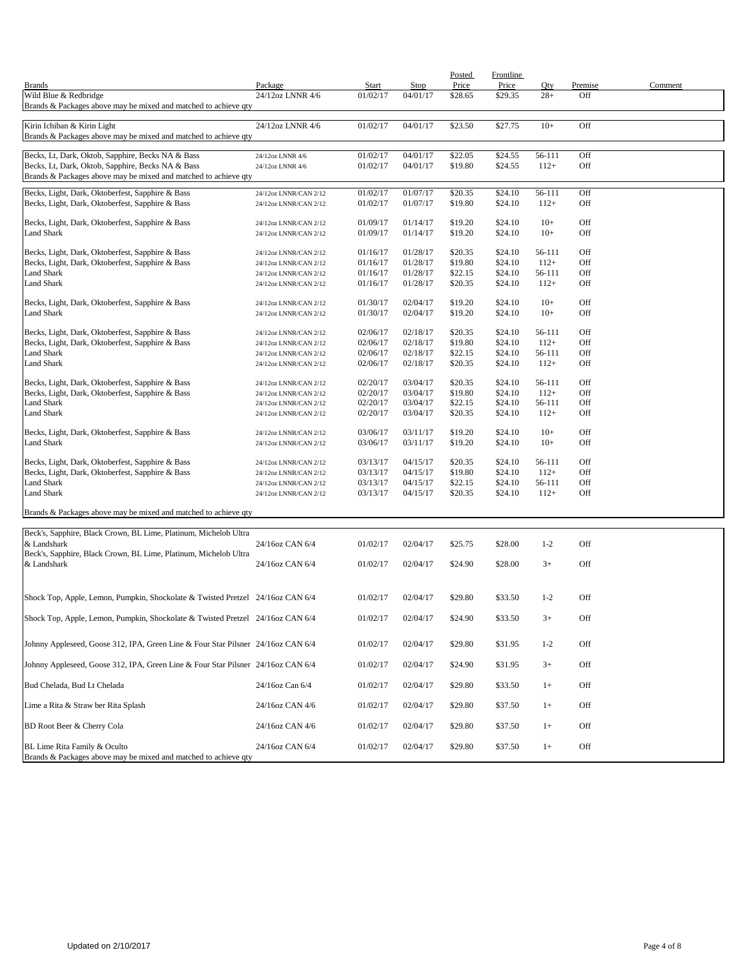|                                                                                  |                                                |                      |                      | Posted             | Frontline          |                  |                |         |
|----------------------------------------------------------------------------------|------------------------------------------------|----------------------|----------------------|--------------------|--------------------|------------------|----------------|---------|
| <b>Brands</b><br>Wild Blue & Redbridge                                           | Package<br>24/12oz LNNR 4/6                    | Start<br>01/02/17    | Stop<br>04/01/17     | Price<br>\$28.65   | Price<br>\$29.35   | Qty<br>$28+$     | Premise<br>Off | Comment |
| Brands & Packages above may be mixed and matched to achieve qty                  |                                                |                      |                      |                    |                    |                  |                |         |
|                                                                                  |                                                |                      |                      |                    |                    |                  |                |         |
| Kirin Ichiban & Kirin Light                                                      | 24/12oz LNNR 4/6                               | 01/02/17             | 04/01/17             | \$23.50            | \$27.75            | $10+$            | Off            |         |
| Brands & Packages above may be mixed and matched to achieve qty                  |                                                |                      |                      |                    |                    |                  |                |         |
| Becks, Lt, Dark, Oktob, Sapphire, Becks NA & Bass                                | 24/12oz LNNR 4/6                               | 01/02/17             | 04/01/17             | \$22.05            | \$24.55            | 56-111           | Off            |         |
| Becks, Lt, Dark, Oktob, Sapphire, Becks NA & Bass                                | 24/12oz LNNR 4/6                               | 01/02/17             | 04/01/17             | \$19.80            | \$24.55            | $112+$           | Off            |         |
| Brands & Packages above may be mixed and matched to achieve qty                  |                                                |                      |                      |                    |                    |                  |                |         |
| Becks, Light, Dark, Oktoberfest, Sapphire & Bass                                 | 24/12oz LNNR/CAN 2/12                          | 01/02/17             | 01/07/17             | \$20.35            | \$24.10            | 56-111           | Off            |         |
| Becks, Light, Dark, Oktoberfest, Sapphire & Bass                                 | 24/12oz LNNR/CAN 2/12                          | 01/02/17             | 01/07/17             | \$19.80            | \$24.10            | $112+$           | Off            |         |
|                                                                                  | 24/12oz LNNR/CAN 2/12                          | 01/09/17             | 01/14/17             | \$19.20            | \$24.10            | $10+$            | Off            |         |
| Becks, Light, Dark, Oktoberfest, Sapphire & Bass<br>Land Shark                   | 24/12oz LNNR/CAN 2/12                          | 01/09/17             | 01/14/17             | \$19.20            | \$24.10            | $10+$            | Off            |         |
|                                                                                  |                                                |                      |                      |                    |                    |                  |                |         |
| Becks, Light, Dark, Oktoberfest, Sapphire & Bass                                 | 24/12oz LNNR/CAN 2/12                          | 01/16/17             | 01/28/17             | \$20.35            | \$24.10            | 56-111           | Off            |         |
| Becks, Light, Dark, Oktoberfest, Sapphire & Bass                                 | 24/12oz LNNR/CAN 2/12                          | 01/16/17             | 01/28/17             | \$19.80            | \$24.10            | $112+$           | Off            |         |
| Land Shark<br>Land Shark                                                         | 24/12oz LNNR/CAN 2/12                          | 01/16/17<br>01/16/17 | 01/28/17<br>01/28/17 | \$22.15<br>\$20.35 | \$24.10<br>\$24.10 | 56-111<br>$112+$ | Off<br>Off     |         |
|                                                                                  | 24/12oz LNNR/CAN 2/12                          |                      |                      |                    |                    |                  |                |         |
| Becks, Light, Dark, Oktoberfest, Sapphire & Bass                                 | 24/12oz LNNR/CAN 2/12                          | 01/30/17             | 02/04/17             | \$19.20            | \$24.10            | $10+$            | Off            |         |
| Land Shark                                                                       | 24/12oz LNNR/CAN 2/12                          | 01/30/17             | 02/04/17             | \$19.20            | \$24.10            | $10+$            | Off            |         |
| Becks, Light, Dark, Oktoberfest, Sapphire & Bass                                 |                                                | 02/06/17             | 02/18/17             | \$20.35            | \$24.10            | 56-111           | Off            |         |
| Becks, Light, Dark, Oktoberfest, Sapphire & Bass                                 | 24/12oz LNNR/CAN 2/12<br>24/12oz LNNR/CAN 2/12 | 02/06/17             | 02/18/17             | \$19.80            | \$24.10            | $112+$           | Off            |         |
| Land Shark                                                                       | 24/12oz LNNR/CAN 2/12                          | 02/06/17             | 02/18/17             | \$22.15            | \$24.10            | 56-111           | Off            |         |
| <b>Land Shark</b>                                                                | 24/12oz LNNR/CAN 2/12                          | 02/06/17             | 02/18/17             | \$20.35            | \$24.10            | $112+$           | Off            |         |
|                                                                                  |                                                |                      |                      |                    |                    |                  |                |         |
| Becks, Light, Dark, Oktoberfest, Sapphire & Bass                                 | 24/12oz LNNR/CAN 2/12                          | 02/20/17             | 03/04/17             | \$20.35            | \$24.10            | 56-111           | Off            |         |
| Becks, Light, Dark, Oktoberfest, Sapphire & Bass                                 | 24/12oz LNNR/CAN 2/12                          | 02/20/17             | 03/04/17             | \$19.80            | \$24.10            | $112+$           | Off            |         |
| Land Shark<br><b>Land Shark</b>                                                  | 24/12oz LNNR/CAN 2/12<br>24/12oz LNNR/CAN 2/12 | 02/20/17<br>02/20/17 | 03/04/17<br>03/04/17 | \$22.15<br>\$20.35 | \$24.10<br>\$24.10 | 56-111<br>$112+$ | Off<br>Off     |         |
|                                                                                  |                                                |                      |                      |                    |                    |                  |                |         |
| Becks, Light, Dark, Oktoberfest, Sapphire & Bass                                 | 24/12oz LNNR/CAN 2/12                          | 03/06/17             | 03/11/17             | \$19.20            | \$24.10            | $10+$            | Off            |         |
| Land Shark                                                                       | 24/12oz LNNR/CAN 2/12                          | 03/06/17             | 03/11/17             | \$19.20            | \$24.10            | $10+$            | Off            |         |
| Becks, Light, Dark, Oktoberfest, Sapphire & Bass                                 | 24/12oz LNNR/CAN 2/12                          | 03/13/17             | 04/15/17             | \$20.35            | \$24.10            | 56-111           | Off            |         |
| Becks, Light, Dark, Oktoberfest, Sapphire & Bass                                 | 24/12oz LNNR/CAN 2/12                          | 03/13/17             | 04/15/17             | \$19.80            | \$24.10            | $112+$           | Off            |         |
| Land Shark                                                                       | 24/12oz LNNR/CAN 2/12                          | 03/13/17             | 04/15/17             | \$22.15            | \$24.10            | 56-111           | Off            |         |
| Land Shark                                                                       | 24/12oz LNNR/CAN 2/12                          | 03/13/17             | 04/15/17             | \$20.35            | \$24.10            | $112+$           | Off            |         |
|                                                                                  |                                                |                      |                      |                    |                    |                  |                |         |
| Brands & Packages above may be mixed and matched to achieve qty                  |                                                |                      |                      |                    |                    |                  |                |         |
| Beck's, Sapphire, Black Crown, BL Lime, Platinum, Michelob Ultra                 |                                                |                      |                      |                    |                    |                  |                |         |
| & Landshark                                                                      | 24/16oz CAN 6/4                                | 01/02/17             | 02/04/17             | \$25.75            | \$28.00            | $1 - 2$          | Off            |         |
| Beck's, Sapphire, Black Crown, BL Lime, Platinum, Michelob Ultra                 |                                                |                      |                      |                    |                    |                  |                |         |
| & Landshark                                                                      | 24/16oz CAN 6/4                                | 01/02/17             | 02/04/17             | \$24.90            | \$28.00            | $3+$             | Off            |         |
|                                                                                  |                                                |                      |                      |                    |                    |                  |                |         |
| Shock Top, Apple, Lemon, Pumpkin, Shockolate & Twisted Pretzel 24/16oz CAN 6/4   |                                                | 01/02/17             | 02/04/17             | \$29.80            | \$33.50            | $1 - 2$          | Off            |         |
|                                                                                  |                                                |                      |                      |                    |                    |                  |                |         |
| Shock Top, Apple, Lemon, Pumpkin, Shockolate & Twisted Pretzel 24/16oz CAN 6/4   |                                                | 01/02/17             | 02/04/17             | \$24.90            | \$33.50            | $3+$             | Off            |         |
|                                                                                  |                                                |                      |                      |                    |                    |                  |                |         |
| Johnny Appleseed, Goose 312, IPA, Green Line & Four Star Pilsner 24/16oz CAN 6/4 |                                                | 01/02/17             | 02/04/17             | \$29.80            | \$31.95            | $1 - 2$          | Off            |         |
|                                                                                  |                                                |                      |                      |                    |                    |                  |                |         |
| Johnny Appleseed, Goose 312, IPA, Green Line & Four Star Pilsner 24/16oz CAN 6/4 |                                                | 01/02/17             | 02/04/17             | \$24.90            | \$31.95            | $3+$             | Off            |         |
| Bud Chelada, Bud Lt Chelada                                                      | 24/16oz Can 6/4                                | 01/02/17             | 02/04/17             | \$29.80            | \$33.50            | $1+$             | Off            |         |
|                                                                                  |                                                |                      |                      |                    |                    |                  |                |         |
| Lime a Rita & Straw ber Rita Splash                                              | 24/16oz CAN 4/6                                | 01/02/17             | 02/04/17             | \$29.80            | \$37.50            | $1+$             | Off            |         |
|                                                                                  |                                                |                      |                      |                    |                    |                  |                |         |
| BD Root Beer & Cherry Cola                                                       | 24/16oz CAN 4/6                                | 01/02/17             | 02/04/17             | \$29.80            | \$37.50            | $1+$             | Off            |         |
| BL Lime Rita Family & Oculto                                                     | 24/16oz CAN 6/4                                | 01/02/17             | 02/04/17             | \$29.80            | \$37.50            | $1+$             | Off            |         |
| Brands & Packages above may be mixed and matched to achieve qty                  |                                                |                      |                      |                    |                    |                  |                |         |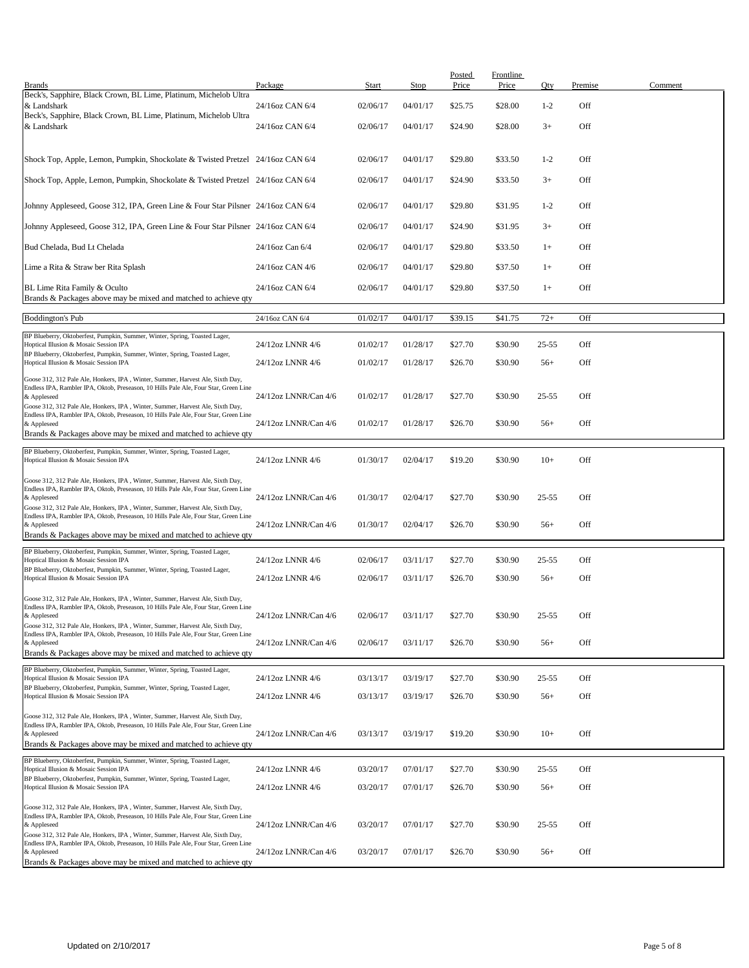| <b>Brands</b>                                                                                                                                                                         | Package              | Start    | <b>Stop</b> | Posted<br>Price | Frontline<br>Price | Qty       | Premise | Comment |
|---------------------------------------------------------------------------------------------------------------------------------------------------------------------------------------|----------------------|----------|-------------|-----------------|--------------------|-----------|---------|---------|
| Beck's, Sapphire, Black Crown, BL Lime, Platinum, Michelob Ultra<br>& Landshark                                                                                                       | 24/16oz CAN 6/4      | 02/06/17 | 04/01/17    | \$25.75         | \$28.00            | $1 - 2$   | Off     |         |
| Beck's, Sapphire, Black Crown, BL Lime, Platinum, Michelob Ultra<br>& Landshark                                                                                                       | 24/16oz CAN 6/4      | 02/06/17 | 04/01/17    | \$24.90         | \$28.00            | $3+$      | Off     |         |
|                                                                                                                                                                                       |                      |          |             |                 |                    |           |         |         |
| Shock Top, Apple, Lemon, Pumpkin, Shockolate & Twisted Pretzel 24/16oz CAN 6/4                                                                                                        |                      | 02/06/17 | 04/01/17    | \$29.80         | \$33.50            | $1 - 2$   | Off     |         |
| Shock Top, Apple, Lemon, Pumpkin, Shockolate & Twisted Pretzel 24/16oz CAN 6/4                                                                                                        |                      | 02/06/17 | 04/01/17    | \$24.90         | \$33.50            | $3+$      | Off     |         |
| Johnny Appleseed, Goose 312, IPA, Green Line & Four Star Pilsner 24/16oz CAN 6/4                                                                                                      |                      | 02/06/17 | 04/01/17    | \$29.80         | \$31.95            | $1 - 2$   | Off     |         |
| Johnny Appleseed, Goose 312, IPA, Green Line & Four Star Pilsner 24/16oz CAN 6/4                                                                                                      |                      | 02/06/17 | 04/01/17    | \$24.90         | \$31.95            | $3+$      | Off     |         |
| Bud Chelada, Bud Lt Chelada                                                                                                                                                           | 24/16oz Can 6/4      | 02/06/17 | 04/01/17    | \$29.80         | \$33.50            | $1+$      | Off     |         |
| Lime a Rita & Straw ber Rita Splash                                                                                                                                                   | 24/16oz CAN 4/6      | 02/06/17 | 04/01/17    | \$29.80         | \$37.50            | $1+$      | Off     |         |
| BL Lime Rita Family & Oculto<br>Brands & Packages above may be mixed and matched to achieve qty                                                                                       | 24/16oz CAN 6/4      | 02/06/17 | 04/01/17    | \$29.80         | \$37.50            | $1+$      | Off     |         |
| <b>Boddington's Pub</b>                                                                                                                                                               | 24/16oz CAN 6/4      | 01/02/17 | 04/01/17    | \$39.15         | \$41.75            | $72+$     | Off     |         |
| BP Blueberry, Oktoberfest, Pumpkin, Summer, Winter, Spring, Toasted Lager,<br>Hoptical Illusion & Mosaic Session IPA                                                                  | 24/12oz LNNR 4/6     | 01/02/17 | 01/28/17    | \$27.70         | \$30.90            | $25 - 55$ | Off     |         |
| BP Blueberry, Oktoberfest, Pumpkin, Summer, Winter, Spring, Toasted Lager,<br>Hoptical Illusion & Mosaic Session IPA                                                                  | 24/12oz LNNR 4/6     | 01/02/17 | 01/28/17    | \$26.70         | \$30.90            | $56+$     | Off     |         |
| Goose 312, 312 Pale Ale, Honkers, IPA, Winter, Summer, Harvest Ale, Sixth Day,                                                                                                        |                      |          |             |                 |                    |           |         |         |
| Endless IPA, Rambler IPA, Oktob, Preseason, 10 Hills Pale Ale, Four Star, Green Line<br>& Appleseed<br>Goose 312, 312 Pale Ale, Honkers, IPA, Winter, Summer, Harvest Ale, Sixth Day, | 24/12oz LNNR/Can 4/6 | 01/02/17 | 01/28/17    | \$27.70         | \$30.90            | $25 - 55$ | Off     |         |
| Endless IPA, Rambler IPA, Oktob, Preseason, 10 Hills Pale Ale, Four Star, Green Line<br>& Appleseed                                                                                   | 24/12oz LNNR/Can 4/6 | 01/02/17 | 01/28/17    | \$26.70         | \$30.90            | $56+$     | Off     |         |
| Brands & Packages above may be mixed and matched to achieve qty                                                                                                                       |                      |          |             |                 |                    |           |         |         |
| BP Blueberry, Oktoberfest, Pumpkin, Summer, Winter, Spring, Toasted Lager,<br>Hoptical Illusion & Mosaic Session IPA                                                                  | 24/12oz LNNR 4/6     | 01/30/17 | 02/04/17    | \$19.20         | \$30.90            | $10+$     | Off     |         |
| Goose 312, 312 Pale Ale, Honkers, IPA, Winter, Summer, Harvest Ale, Sixth Day,<br>Endless IPA, Rambler IPA, Oktob, Preseason, 10 Hills Pale Ale, Four Star, Green Line                |                      |          |             |                 |                    |           |         |         |
| & Appleseed<br>Goose 312, 312 Pale Ale, Honkers, IPA, Winter, Summer, Harvest Ale, Sixth Day,                                                                                         | 24/12oz LNNR/Can 4/6 | 01/30/17 | 02/04/17    | \$27.70         | \$30.90            | $25 - 55$ | Off     |         |
| Endless IPA, Rambler IPA, Oktob, Preseason, 10 Hills Pale Ale, Four Star, Green Line<br>& Appleseed                                                                                   | 24/12oz LNNR/Can 4/6 | 01/30/17 | 02/04/17    | \$26.70         | \$30.90            | $56+$     | Off     |         |
| Brands & Packages above may be mixed and matched to achieve qty<br>BP Blueberry, Oktoberfest, Pumpkin, Summer, Winter, Spring, Toasted Lager,                                         |                      |          |             |                 |                    |           |         |         |
| Hoptical Illusion & Mosaic Session IPA<br>BP Blueberry, Oktoberfest, Pumpkin, Summer, Winter, Spring, Toasted Lager,                                                                  | 24/12oz LNNR 4/6     | 02/06/17 | 03/11/17    | \$27.70         | \$30.90            | $25 - 55$ | Off     |         |
| Hoptical Illusion & Mosaic Session IPA                                                                                                                                                | 24/12oz LNNR 4/6     | 02/06/17 | 03/11/17    | \$26.70         | \$30.90            | $56+$     | Off     |         |
| Goose 312, 312 Pale Ale, Honkers, IPA, Winter, Summer, Harvest Ale, Sixth Day,<br>Endless IPA, Rambler IPA, Oktob, Preseason, 10 Hills Pale Ale, Four Star, Green Line                |                      |          |             |                 |                    |           |         |         |
| & Appleseed<br>Goose 312, 312 Pale Ale, Honkers, IPA, Winter, Summer, Harvest Ale, Sixth Day,                                                                                         | 24/12oz LNNR/Can 4/6 | 02/06/17 | 03/11/17    | \$27.70         | \$30.90            | $25 - 55$ | Off     |         |
| Endless IPA, Rambler IPA, Oktob, Preseason, 10 Hills Pale Ale, Four Star, Green Line<br>& Appleseed<br>Brands & Packages above may be mixed and matched to achieve gty                | 24/12oz LNNR/Can 4/6 | 02/06/17 | 03/11/17    | \$26.70         | \$30.90            | $56+$     | Off     |         |
| BP Blueberry, Oktoberfest, Pumpkin, Summer, Winter, Spring, Toasted Lager,                                                                                                            |                      |          |             |                 |                    |           |         |         |
| Hoptical Illusion & Mosaic Session IPA<br>BP Blueberry, Oktoberfest, Pumpkin, Summer, Winter, Spring, Toasted Lager,                                                                  | 24/12oz LNNR 4/6     | 03/13/17 | 03/19/17    | \$27.70         | \$30.90            | $25 - 55$ | Off     |         |
| Hoptical Illusion & Mosaic Session IPA                                                                                                                                                | 24/12oz LNNR 4/6     | 03/13/17 | 03/19/17    | \$26.70         | \$30.90            | $56+$     | Off     |         |
| Goose 312, 312 Pale Ale, Honkers, IPA, Winter, Summer, Harvest Ale, Sixth Day,<br>Endless IPA, Rambler IPA, Oktob, Preseason, 10 Hills Pale Ale, Four Star, Green Line<br>& Appleseed | 24/12oz LNNR/Can 4/6 | 03/13/17 | 03/19/17    | \$19.20         | \$30.90            | $10+$     | Off     |         |
| Brands & Packages above may be mixed and matched to achieve gty                                                                                                                       |                      |          |             |                 |                    |           |         |         |
| BP Blueberry, Oktoberfest, Pumpkin, Summer, Winter, Spring, Toasted Lager,<br>Hoptical Illusion & Mosaic Session IPA                                                                  | 24/12oz LNNR 4/6     | 03/20/17 | 07/01/17    | \$27.70         | \$30.90            | $25 - 55$ | Off     |         |
| BP Blueberry, Oktoberfest, Pumpkin, Summer, Winter, Spring, Toasted Lager,<br>Hoptical Illusion & Mosaic Session IPA                                                                  | 24/12oz LNNR 4/6     | 03/20/17 | 07/01/17    | \$26.70         | \$30.90            | $56+$     | Off     |         |
| Goose 312, 312 Pale Ale, Honkers, IPA, Winter, Summer, Harvest Ale, Sixth Day,                                                                                                        |                      |          |             |                 |                    |           |         |         |
| Endless IPA, Rambler IPA, Oktob, Preseason, 10 Hills Pale Ale, Four Star, Green Line<br>& Appleseed<br>Goose 312, 312 Pale Ale, Honkers, IPA, Winter, Summer, Harvest Ale, Sixth Day, | 24/12oz LNNR/Can 4/6 | 03/20/17 | 07/01/17    | \$27.70         | \$30.90            | $25 - 55$ | Off     |         |
| Endless IPA, Rambler IPA, Oktob, Preseason, 10 Hills Pale Ale, Four Star, Green Line<br>& Appleseed                                                                                   | 24/12oz LNNR/Can 4/6 | 03/20/17 | 07/01/17    | \$26.70         | \$30.90            | $56+$     | Off     |         |
| Brands & Packages above may be mixed and matched to achieve qty                                                                                                                       |                      |          |             |                 |                    |           |         |         |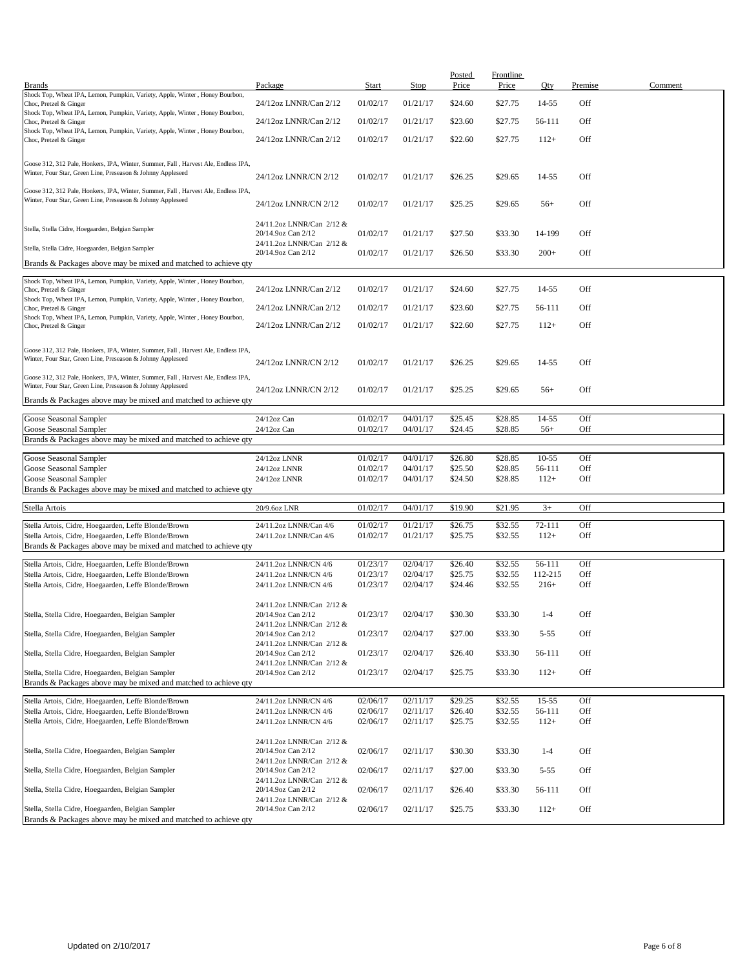| <b>Brands</b>                                                                                                                                     | Package                                                                      | Start                | <b>Stop</b>          | <b>Posted</b><br>Price | <b>Frontline</b><br>Price | Qty               | Premise    | Comment |
|---------------------------------------------------------------------------------------------------------------------------------------------------|------------------------------------------------------------------------------|----------------------|----------------------|------------------------|---------------------------|-------------------|------------|---------|
| Shock Top, Wheat IPA, Lemon, Pumpkin, Variety, Apple, Winter, Honey Bourbon,<br>Choc, Pretzel & Ginger                                            | 24/12oz LNNR/Can 2/12                                                        | 01/02/17             | 01/21/17             | \$24.60                | \$27.75                   | 14-55             | Off        |         |
| Shock Top, Wheat IPA, Lemon, Pumpkin, Variety, Apple, Winter, Honey Bourbon,                                                                      |                                                                              |                      |                      |                        |                           |                   |            |         |
| Choc, Pretzel & Ginger<br>Shock Top, Wheat IPA, Lemon, Pumpkin, Variety, Apple, Winter, Honey Bourbon,                                            | 24/12oz LNNR/Can 2/12                                                        | 01/02/17             | 01/21/17             | \$23.60                | \$27.75                   | 56-111            | Off        |         |
| Choc, Pretzel & Ginger                                                                                                                            | 24/12oz LNNR/Can 2/12                                                        | 01/02/17             | 01/21/17             | \$22.60                | \$27.75                   | $112+$            | Off        |         |
| Goose 312, 312 Pale, Honkers, IPA, Winter, Summer, Fall, Harvest Ale, Endless IPA,<br>Winter, Four Star, Green Line, Preseason & Johnny Appleseed | 24/12oz LNNR/CN 2/12                                                         | 01/02/17             | 01/21/17             | \$26.25                | \$29.65                   | 14-55             | Off        |         |
| Goose 312, 312 Pale, Honkers, IPA, Winter, Summer, Fall, Harvest Ale, Endless IPA,<br>Winter, Four Star, Green Line, Preseason & Johnny Appleseed | 24/12oz LNNR/CN 2/12                                                         | 01/02/17             | 01/21/17             | \$25.25                | \$29.65                   | $56+$             | Off        |         |
| Stella, Stella Cidre, Hoegaarden, Belgian Sampler                                                                                                 | 24/11.2oz LNNR/Can 2/12 &<br>20/14.9oz Can 2/12                              | 01/02/17             | 01/21/17             | \$27.50                | \$33.30                   | 14-199            | Off        |         |
| Stella, Stella Cidre, Hoegaarden, Belgian Sampler                                                                                                 | 24/11.2oz LNNR/Can 2/12 &<br>20/14.9oz Can 2/12                              | 01/02/17             | 01/21/17             | \$26.50                | \$33.30                   | $200+$            | Off        |         |
| Brands & Packages above may be mixed and matched to achieve qty                                                                                   |                                                                              |                      |                      |                        |                           |                   |            |         |
| Shock Top, Wheat IPA, Lemon, Pumpkin, Variety, Apple, Winter, Honey Bourbon,                                                                      | 24/12oz LNNR/Can 2/12                                                        | 01/02/17             | 01/21/17             | \$24.60                | \$27.75                   | 14-55             | Off        |         |
| Choc, Pretzel & Ginger<br>Shock Top, Wheat IPA, Lemon, Pumpkin, Variety, Apple, Winter, Honey Bourbon,                                            | 24/12oz LNNR/Can 2/12                                                        | 01/02/17             | 01/21/17             | \$23.60                | \$27.75                   | 56-111            | Off        |         |
| Choc, Pretzel & Ginger<br>Shock Top, Wheat IPA, Lemon, Pumpkin, Variety, Apple, Winter, Honey Bourbon,                                            |                                                                              |                      |                      |                        |                           |                   |            |         |
| Choc, Pretzel & Ginger                                                                                                                            | 24/12oz LNNR/Can 2/12                                                        | 01/02/17             | 01/21/17             | \$22.60                | \$27.75                   | $112+$            | Off        |         |
| Goose 312, 312 Pale, Honkers, IPA, Winter, Summer, Fall, Harvest Ale, Endless IPA,<br>Winter, Four Star, Green Line, Preseason & Johnny Appleseed | 24/12oz LNNR/CN 2/12                                                         | 01/02/17             | 01/21/17             | \$26.25                | \$29.65                   | 14-55             | Off        |         |
| Goose 312, 312 Pale, Honkers, IPA, Winter, Summer, Fall, Harvest Ale, Endless IPA,<br>Winter, Four Star, Green Line, Preseason & Johnny Appleseed | 24/12oz LNNR/CN 2/12                                                         | 01/02/17             | 01/21/17             | \$25.25                | \$29.65                   | $56+$             | Off        |         |
| Brands & Packages above may be mixed and matched to achieve qty                                                                                   |                                                                              |                      |                      |                        |                           |                   |            |         |
| Goose Seasonal Sampler                                                                                                                            | 24/12oz Can                                                                  | 01/02/17             | 04/01/17             | \$25.45                | \$28.85                   | 14-55             | Off        |         |
| Goose Seasonal Sampler<br>Brands & Packages above may be mixed and matched to achieve qty                                                         | 24/12oz Can                                                                  | 01/02/17             | 04/01/17             | \$24.45                | \$28.85                   | $56+$             | Off        |         |
|                                                                                                                                                   |                                                                              |                      |                      |                        |                           |                   |            |         |
| Goose Seasonal Sampler<br>Goose Seasonal Sampler                                                                                                  | 24/12oz LNNR<br>24/12oz LNNR                                                 | 01/02/17<br>01/02/17 | 04/01/17<br>04/01/17 | \$26.80<br>\$25.50     | \$28.85<br>\$28.85        | $10-55$<br>56-111 | Off<br>Off |         |
| Goose Seasonal Sampler                                                                                                                            | 24/12oz LNNR                                                                 | 01/02/17             | 04/01/17             | \$24.50                | \$28.85                   | $112+$            | Off        |         |
| Brands & Packages above may be mixed and matched to achieve qty                                                                                   |                                                                              |                      |                      |                        |                           |                   |            |         |
| Stella Artois                                                                                                                                     | 20/9.6oz LNR                                                                 | 01/02/17             | 04/01/17             | \$19.90                | \$21.95                   | $3+$              | Off        |         |
| Stella Artois, Cidre, Hoegaarden, Leffe Blonde/Brown                                                                                              | 24/11.2oz LNNR/Can 4/6                                                       | 01/02/17             | 01/21/17             | \$26.75                | \$32.55                   | 72-111            | Off        |         |
| Stella Artois, Cidre, Hoegaarden, Leffe Blonde/Brown                                                                                              | 24/11.2oz LNNR/Can 4/6                                                       | 01/02/17             | 01/21/17             | \$25.75                | \$32.55                   | $112+$            | Off        |         |
| Brands & Packages above may be mixed and matched to achieve qty                                                                                   |                                                                              |                      |                      |                        |                           |                   |            |         |
| Stella Artois, Cidre, Hoegaarden, Leffe Blonde/Brown                                                                                              | 24/11.2oz LNNR/CN 4/6                                                        | 01/23/17             | 02/04/17             | \$26.40                | \$32.55                   | 56-111            | Off        |         |
| Stella Artois, Cidre, Hoegaarden, Leffe Blonde/Brown                                                                                              | 24/11.2oz LNNR/CN 4/6                                                        | 01/23/17             | 02/04/17             | \$25.75                | \$32.55                   | 112-215           | Off        |         |
| Stella Artois, Cidre, Hoegaarden, Leffe Blonde/Brown                                                                                              | 24/11.2oz LNNR/CN 4/6                                                        | 01/23/17             | 02/04/17             | \$24.46                | \$32.55                   | $216+$            | Off        |         |
| Stella, Stella Cidre, Hoegaarden, Belgian Sampler                                                                                                 | 24/11.2oz LNNR/Can 2/12 &<br>20/14.9oz Can 2/12<br>24/11.2oz LNNR/Can 2/12 & | 01/23/17             | 02/04/17             | \$30.30                | \$33.30                   | $1 - 4$           | Off        |         |
| Stella, Stella Cidre, Hoegaarden, Belgian Sampler                                                                                                 | 20/14.9oz Can 2/12                                                           | 01/23/17             | 02/04/17             | \$27.00                | \$33.30                   | $5 - 55$          | Off        |         |
| Stella, Stella Cidre, Hoegaarden, Belgian Sampler                                                                                                 | 24/11.2oz LNNR/Can 2/12 &<br>20/14.9oz Can 2/12<br>24/11.2oz LNNR/Can 2/12 & | 01/23/17             | 02/04/17             | \$26.40                | \$33.30                   | 56-111            | Off        |         |
| Stella, Stella Cidre, Hoegaarden, Belgian Sampler<br>Brands & Packages above may be mixed and matched to achieve qty                              | 20/14.9oz Can 2/12                                                           | 01/23/17             | 02/04/17             | \$25.75                | \$33.30                   | $112+$            | Off        |         |
| Stella Artois, Cidre, Hoegaarden, Leffe Blonde/Brown                                                                                              |                                                                              | 02/06/17             | 02/11/17             | \$29.25                | \$32.55                   | $15 - 55$         | Off        |         |
| Stella Artois, Cidre, Hoegaarden, Leffe Blonde/Brown                                                                                              | 24/11.2oz LNNR/CN 4/6<br>24/11.2oz LNNR/CN 4/6                               | 02/06/17             | 02/11/17             | \$26.40                | \$32.55                   | 56-111            | Off        |         |
| Stella Artois, Cidre, Hoegaarden, Leffe Blonde/Brown                                                                                              | 24/11.2oz LNNR/CN 4/6                                                        | 02/06/17             | 02/11/17             | \$25.75                | \$32.55                   | $112+$            | Off        |         |
| Stella, Stella Cidre, Hoegaarden, Belgian Sampler                                                                                                 | 24/11.2oz LNNR/Can 2/12 &<br>20/14.9oz Can 2/12<br>24/11.2oz LNNR/Can 2/12 & | 02/06/17             | 02/11/17             | \$30.30                | \$33.30                   | $1 - 4$           | Off        |         |
| Stella, Stella Cidre, Hoegaarden, Belgian Sampler                                                                                                 | 20/14.9oz Can 2/12<br>24/11.2oz LNNR/Can 2/12 &                              | 02/06/17             | 02/11/17             | \$27.00                | \$33.30                   | $5 - 55$          | Off        |         |
| Stella, Stella Cidre, Hoegaarden, Belgian Sampler                                                                                                 | 20/14.9oz Can 2/12<br>24/11.2oz LNNR/Can 2/12 &                              | 02/06/17             | 02/11/17             | \$26.40                | \$33.30                   | 56-111            | Off        |         |
| Stella, Stella Cidre, Hoegaarden, Belgian Sampler<br>Brands & Packages above may be mixed and matched to achieve qty                              | 20/14.9oz Can 2/12                                                           | 02/06/17             | 02/11/17             | \$25.75                | \$33.30                   | $112+$            | Off        |         |
|                                                                                                                                                   |                                                                              |                      |                      |                        |                           |                   |            |         |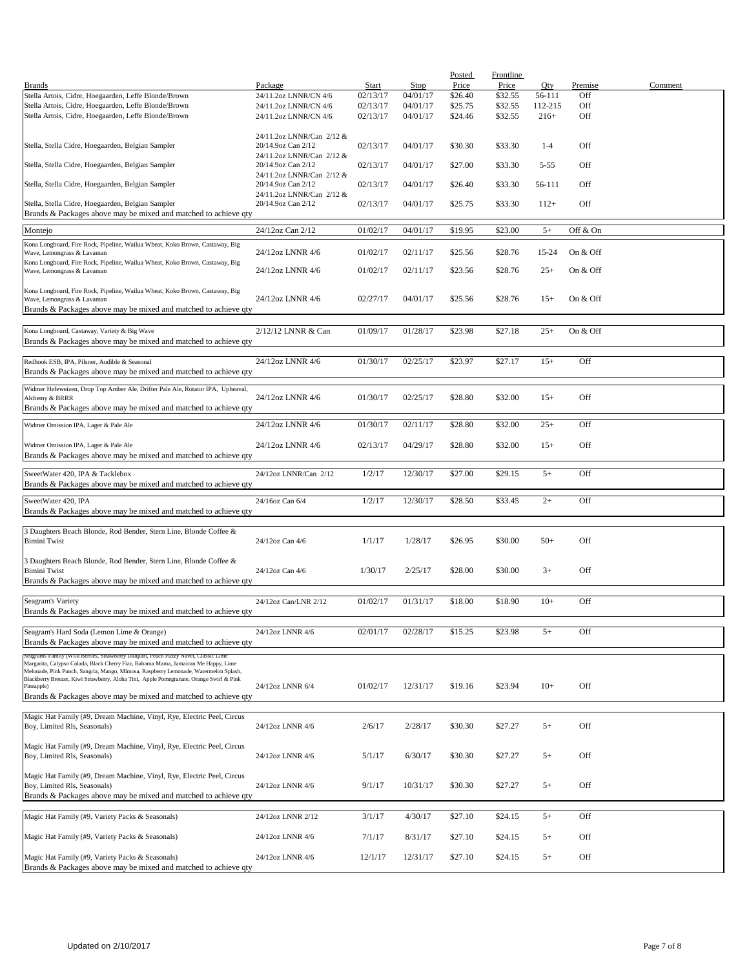|                                                                                         |                           |          |          | <b>Posted</b> | Frontline |          |          |         |
|-----------------------------------------------------------------------------------------|---------------------------|----------|----------|---------------|-----------|----------|----------|---------|
| <b>Brands</b>                                                                           | Package                   | Start    | Stop     | Price         | Price     | Qty      | Premise  | Comment |
| Stella Artois, Cidre, Hoegaarden, Leffe Blonde/Brown                                    | 24/11.2oz LNNR/CN 4/6     | 02/13/17 | 04/01/17 | \$26.40       | \$32.55   | 56-111   | Off      |         |
| Stella Artois, Cidre, Hoegaarden, Leffe Blonde/Brown                                    | 24/11.2oz LNNR/CN 4/6     | 02/13/17 | 04/01/17 | \$25.75       | \$32.55   | 112-215  | Off      |         |
| Stella Artois, Cidre, Hoegaarden, Leffe Blonde/Brown                                    | 24/11.2oz LNNR/CN 4/6     | 02/13/17 | 04/01/17 | \$24.46       | \$32.55   | $216+$   | Off      |         |
|                                                                                         |                           |          |          |               |           |          |          |         |
|                                                                                         | 24/11.2oz LNNR/Can 2/12 & |          |          |               |           |          |          |         |
| Stella, Stella Cidre, Hoegaarden, Belgian Sampler                                       | 20/14.9oz Can 2/12        | 02/13/17 | 04/01/17 | \$30.30       | \$33.30   | $1 - 4$  | Off      |         |
|                                                                                         | 24/11.2oz LNNR/Can 2/12 & |          |          |               |           |          |          |         |
| Stella, Stella Cidre, Hoegaarden, Belgian Sampler                                       | 20/14.9oz Can 2/12        | 02/13/17 | 04/01/17 | \$27.00       | \$33.30   | $5 - 55$ | Off      |         |
|                                                                                         | 24/11.2oz LNNR/Can 2/12 & |          |          |               |           |          |          |         |
| Stella, Stella Cidre, Hoegaarden, Belgian Sampler                                       | 20/14.9oz Can 2/12        | 02/13/17 | 04/01/17 | \$26.40       | \$33.30   | 56-111   | Off      |         |
|                                                                                         | 24/11.2oz LNNR/Can 2/12 & |          |          |               |           |          |          |         |
| Stella, Stella Cidre, Hoegaarden, Belgian Sampler                                       | 20/14.9oz Can 2/12        | 02/13/17 | 04/01/17 | \$25.75       | \$33.30   | $112+$   | Off      |         |
| Brands & Packages above may be mixed and matched to achieve qty                         |                           |          |          |               |           |          |          |         |
|                                                                                         |                           |          |          |               |           |          |          |         |
| Montejo                                                                                 | 24/12oz Can 2/12          | 01/02/17 | 04/01/17 | \$19.95       | \$23.00   | $5+$     | Off & On |         |
|                                                                                         |                           |          |          |               |           |          |          |         |
| Kona Longboard, Fire Rock, Pipeline, Wailua Wheat, Koko Brown, Castaway, Big            |                           |          | 02/11/17 | \$25.56       | \$28.76   | 15-24    | On & Off |         |
| Wave, Lemongrass & Lavaman                                                              | 24/12oz LNNR 4/6          | 01/02/17 |          |               |           |          |          |         |
| Kona Longboard, Fire Rock, Pipeline, Wailua Wheat, Koko Brown, Castaway, Big            | 24/12oz LNNR 4/6          | 01/02/17 | 02/11/17 | \$23.56       | \$28.76   | $25+$    | On & Off |         |
| Wave, Lemongrass & Lavaman                                                              |                           |          |          |               |           |          |          |         |
| Kona Longboard, Fire Rock, Pipeline, Wailua Wheat, Koko Brown, Castaway, Big            |                           |          |          |               |           |          |          |         |
| Wave, Lemongrass & Lavaman                                                              | 24/12oz LNNR 4/6          | 02/27/17 | 04/01/17 | \$25.56       | \$28.76   | $15+$    | On & Off |         |
| Brands & Packages above may be mixed and matched to achieve qty                         |                           |          |          |               |           |          |          |         |
|                                                                                         |                           |          |          |               |           |          |          |         |
|                                                                                         |                           |          |          |               |           |          |          |         |
| Kona Longboard, Castaway, Variety & Big Wave                                            | 2/12/12 LNNR & Can        | 01/09/17 | 01/28/17 | \$23.98       | \$27.18   | $25+$    | On & Off |         |
| Brands & Packages above may be mixed and matched to achieve qty                         |                           |          |          |               |           |          |          |         |
|                                                                                         |                           |          |          |               |           |          |          |         |
| Redhook ESB, IPA, Pilsner, Audible & Seasonal                                           | 24/12oz LNNR 4/6          | 01/30/17 | 02/25/17 | \$23.97       | \$27.17   | $15+$    | Off      |         |
| Brands & Packages above may be mixed and matched to achieve qty                         |                           |          |          |               |           |          |          |         |
|                                                                                         |                           |          |          |               |           |          |          |         |
| Widmer Hefeweizen, Drop Top Amber Ale, Drifter Pale Ale, Rotator IPA, Upheaval,         |                           |          |          |               |           |          |          |         |
| Alchemy & BRRR                                                                          | 24/12oz LNNR 4/6          | 01/30/17 | 02/25/17 | \$28.80       | \$32.00   | $15+$    | Off      |         |
| Brands & Packages above may be mixed and matched to achieve qty                         |                           |          |          |               |           |          |          |         |
| Widmer Omission IPA, Lager & Pale Ale                                                   |                           | 01/30/17 |          |               | \$32.00   | $25+$    | Off      |         |
|                                                                                         | 24/12oz LNNR 4/6          |          | 02/11/17 | \$28.80       |           |          |          |         |
|                                                                                         |                           |          |          |               |           |          |          |         |
| Widmer Omission IPA, Lager & Pale Ale                                                   | 24/12oz LNNR 4/6          | 02/13/17 | 04/29/17 | \$28.80       | \$32.00   | $15+$    | Off      |         |
| Brands & Packages above may be mixed and matched to achieve qty                         |                           |          |          |               |           |          |          |         |
|                                                                                         |                           |          |          |               |           |          |          |         |
| SweetWater 420, IPA & Tacklebox                                                         | 24/12oz LNNR/Can 2/12     | 1/2/17   | 12/30/17 | \$27.00       | \$29.15   | $5+$     | Off      |         |
| Brands & Packages above may be mixed and matched to achieve qty                         |                           |          |          |               |           |          |          |         |
| SweetWater 420, IPA                                                                     | 24/16oz Can 6/4           | 1/2/17   | 12/30/17 | \$28.50       | \$33.45   | $2+$     | Off      |         |
| Brands & Packages above may be mixed and matched to achieve qty                         |                           |          |          |               |           |          |          |         |
|                                                                                         |                           |          |          |               |           |          |          |         |
|                                                                                         |                           |          |          |               |           |          |          |         |
| 3 Daughters Beach Blonde, Rod Bender, Stern Line, Blonde Coffee &                       |                           |          |          |               |           |          |          |         |
| <b>Bimini Twist</b>                                                                     | 24/12oz Can 4/6           | 1/1/17   | 1/28/17  | \$26.95       | \$30.00   | $50+$    | Off      |         |
|                                                                                         |                           |          |          |               |           |          |          |         |
| 3 Daughters Beach Blonde, Rod Bender, Stern Line, Blonde Coffee &                       |                           |          |          |               |           |          |          |         |
| <b>Bimini Twist</b>                                                                     | 24/12oz Can 4/6           | 1/30/17  | 2/25/17  | \$28.00       | \$30.00   | $3+$     | Off      |         |
| Brands & Packages above may be mixed and matched to achieve qty                         |                           |          |          |               |           |          |          |         |
|                                                                                         |                           |          |          |               |           |          |          |         |
| Seagram's Variety                                                                       | 24/12oz Can/LNR 2/12      | 01/02/17 | 01/31/17 | \$18.00       | \$18.90   | $10+$    | Off      |         |
| Brands & Packages above may be mixed and matched to achieve qty                         |                           |          |          |               |           |          |          |         |
|                                                                                         |                           |          |          |               |           |          |          |         |
| Seagram's Hard Soda (Lemon Lime & Orange)                                               | 24/12oz LNNR 4/6          | 02/01/17 | 02/28/17 | \$15.25       | \$23.98   | $5+$     | Off      |         |
| Brands & Packages above may be mixed and matched to achieve qty                         |                           |          |          |               |           |          |          |         |
| Seagrams Family (Wild Bernes, Strawberry Daiquiri, Peach Fuzzy Navel, Classic Lim       |                           |          |          |               |           |          |          |         |
| Margarita, Calypso Colada, Black Cherry Fizz, Bahama Mama, Jamaican Me Happy, Lime      |                           |          |          |               |           |          |          |         |
| Melonade, Pink Punch, Sangria, Mango, Mimosa, Raspberry Lemonade, Watermelon Splash,    |                           |          |          |               |           |          |          |         |
| Blackberry Breezer, Kiwi Strawberry, Aloha Tini, Apple Pomegranate, Orange Swirl & Pink |                           |          |          |               |           |          |          |         |
| Pineapple)                                                                              | 24/12oz LNNR 6/4          | 01/02/17 | 12/31/17 | \$19.16       | \$23.94   | $10+$    | Off      |         |
| Brands & Packages above may be mixed and matched to achieve qty                         |                           |          |          |               |           |          |          |         |
|                                                                                         |                           |          |          |               |           |          |          |         |
| Magic Hat Family (#9, Dream Machine, Vinyl, Rye, Electric Peel, Circus                  |                           |          |          |               |           |          |          |         |
| Boy, Limited Rls, Seasonals)                                                            | 24/12oz LNNR 4/6          | 2/6/17   | 2/28/17  | \$30.30       | \$27.27   | $5+$     | Off      |         |
|                                                                                         |                           |          |          |               |           |          |          |         |
| Magic Hat Family (#9, Dream Machine, Vinyl, Rye, Electric Peel, Circus                  |                           |          |          |               |           |          |          |         |
| Boy, Limited Rls, Seasonals)                                                            | 24/12oz LNNR 4/6          | 5/1/17   | 6/30/17  | \$30.30       | \$27.27   | $5+$     | Off      |         |
|                                                                                         |                           |          |          |               |           |          |          |         |
| Magic Hat Family (#9, Dream Machine, Vinyl, Rye, Electric Peel, Circus                  |                           |          |          |               |           |          |          |         |
| Boy, Limited Rls, Seasonals)                                                            | 24/12oz LNNR 4/6          | 9/1/17   | 10/31/17 | \$30.30       | \$27.27   | $5+$     | Off      |         |
| Brands & Packages above may be mixed and matched to achieve qty                         |                           |          |          |               |           |          |          |         |
|                                                                                         |                           |          |          |               |           |          |          |         |
| Magic Hat Family (#9, Variety Packs & Seasonals)                                        | 24/12oz LNNR 2/12         | 3/1/17   | 4/30/17  | \$27.10       | \$24.15   | $5+$     | Off      |         |
|                                                                                         |                           |          |          |               |           |          |          |         |
| Magic Hat Family (#9, Variety Packs & Seasonals)                                        | 24/12oz LNNR 4/6          | 7/1/17   | 8/31/17  | \$27.10       | \$24.15   | $5+$     | Off      |         |
|                                                                                         |                           |          |          |               |           |          |          |         |
| Magic Hat Family (#9, Variety Packs & Seasonals)                                        | 24/12oz LNNR 4/6          | 12/1/17  | 12/31/17 | \$27.10       | \$24.15   | $5+$     | Off      |         |
| Brands & Packages above may be mixed and matched to achieve qty                         |                           |          |          |               |           |          |          |         |
|                                                                                         |                           |          |          |               |           |          |          |         |